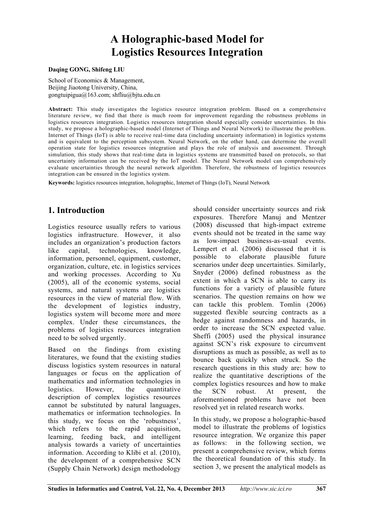# **A Holographic-based Model for Logistics Resources Integration**

#### **Daqing GONG, Shifeng LIU**

School of Economics & Management. Beijing Jiaotong University, China, gongtuipigua@163.com; shfliu@bjtu.edu.cn

**Abstract:** This study investigates the logistics resource integration problem. Based on a comprehensive literature review, we find that there is much room for improvement regarding the robustness problems in logistics resources integration. Logistics resources integration should especially consider uncertainties. In this study, we propose a holographic-based model (Internet of Things and Neural Network) to illustrate the problem. Internet of Things (IoT) is able to receive real-time data (including uncertainty information) in logistics systems and is equivalent to the perception subsystem. Neural Network, on the other hand, can determine the overall operation state for logistics resources integration and plays the role of analysis and assessment. Through simulation, this study shows that real-time data in logistics systems are transmitted based on protocols, so that uncertainty information can be received by the IoT model. The Neural Network model can comprehensively evaluate uncertainties through the neural network algorithm. Therefore, the robustness of logistics resources integration can be ensured in the logistics system.

**Keywords:** logistics resources integration, holographic, Internet of Things (IoT), Neural Network

# **1. Introduction**

Logistics resource usually refers to various logistics infrastructure. However, it also includes an organization's production factors like capital, technologies, knowledge, information, personnel, equipment, customer, organization, culture, etc. in logistics services and working processes. According to Xu (2005), all of the economic systems, social systems, and natural systems are logistics resources in the view of material flow. With the development of logistics industry, logistics system will become more and more complex. Under these circumstances, the problems of logistics resources integration need to be solved urgently.

Based on the findings from existing literatures, we found that the existing studies discuss logistics system resources in natural languages or focus on the application of mathematics and information technologies in logistics. However, the quantitative description of complex logistics resources cannot be substituted by natural languages, mathematics or information technologies. In this study, we focus on the 'robustness', which refers to the rapid acquisition, learning, feeding back, and intelligent analysis towards a variety of uncertainties information. According to Klibi et al. (2010), the development of a comprehensive SCN (Supply Chain Network) design methodology

should consider uncertainty sources and risk exposures. Therefore Manuj and Mentzer (2008) discussed that high-impact extreme events should not be treated in the same way as low-impact business-as-usual events. Lempert et al. (2006) discussed that it is possible to elaborate plausible future scenarios under deep uncertainties. Similarly, Snyder (2006) defined robustness as the extent in which a SCN is able to carry its functions for a variety of plausible future scenarios. The question remains on how we can tackle this problem. Tomlin (2006) suggested flexible sourcing contracts as a hedge against randomness and hazards, in order to increase the SCN expected value. Sheffi (2005) used the physical insurance against SCN's risk exposure to circumvent disruptions as much as possible, as well as to bounce back quickly when struck. So the research questions in this study are: how to realize the quantitative descriptions of the complex logistics resources and how to make the SCN robust. At present, the aforementioned problems have not been resolved yet in related research works.

In this study, we propose a holographic-based model to illustrate the problems of logistics resource integration. We organize this paper as follows: in the following section, we present a comprehensive review, which forms the theoretical foundation of this study. In section 3, we present the analytical models as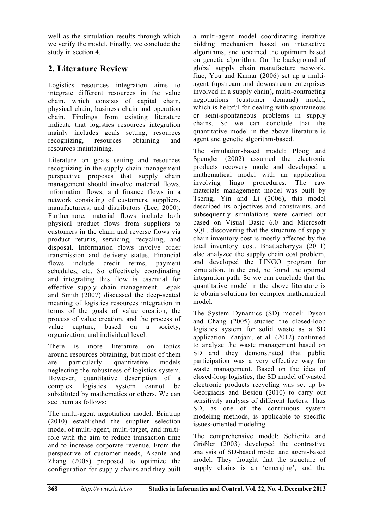well as the simulation results through which we verify the model. Finally, we conclude the study in section 4.

# **2. Literature Review**

Logistics resources integration aims to integrate different resources in the value chain, which consists of capital chain, physical chain, business chain and operation chain. Findings from existing literature indicate that logistics resources integration mainly includes goals setting, resources recognizing, resources obtaining and resources maintaining.

Literature on goals setting and resources recognizing in the supply chain management perspective proposes that supply chain management should involve material flows, information flows, and finance flows in a network consisting of customers, suppliers, manufacturers, and distributors (Lee, 2000). Furthermore, material flows include both physical product flows from suppliers to customers in the chain and reverse flows via product returns, servicing, recycling, and disposal. Information flows involve order transmission and delivery status. Financial flows include credit terms, payment schedules, etc. So effectively coordinating and integrating this flow is essential for effective supply chain management. Lepak and Smith (2007) discussed the deep-seated meaning of logistics resources integration in terms of the goals of value creation, the process of value creation, and the process of value capture, based on a society, organization, and individual level.

There is more literature on topics around resources obtaining, but most of them are particularly quantitative models neglecting the robustness of logistics system. However, quantitative description of a complex logistics system cannot be substituted by mathematics or others. We can see them as follows:

The multi-agent negotiation model: Brintrup (2010) established the supplier selection model of multi-agent, multi-target, and multirole with the aim to reduce transaction time and to increase corporate revenue. From the perspective of customer needs, Akanle and Zhang (2008) proposed to optimize the configuration for supply chains and they built a multi-agent model coordinating iterative bidding mechanism based on interactive algorithms, and obtained the optimum based on genetic algorithm. On the background of global supply chain manufacture network, Jiao, You and Kumar (2006) set up a multiagent (upstream and downstream enterprises involved in a supply chain), multi-contracting negotiations (customer demand) model, which is helpful for dealing with spontaneous or semi-spontaneous problems in supply chains. So we can conclude that the quantitative model in the above literature is agent and genetic algorithm-based.

The simulation-based model: Ploog and Spengler (2002) assumed the electronic products recovery mode and developed a mathematical model with an application involving lingo procedures. The raw materials management model was built by Tserng, Yin and Li (2006), this model described its objectives and constraints, and subsequently simulations were carried out based on Visual Basic 6.0 and Microsoft SQL, discovering that the structure of supply chain inventory cost is mostly affected by the total inventory cost. Bhattacharyya (2011) also analyzed the supply chain cost problem, and developed the LINGO program for simulation. In the end, he found the optimal integration path. So we can conclude that the quantitative model in the above literature is to obtain solutions for complex mathematical model.

The System Dynamics (SD) model: Dyson and Chang (2005) studied the closed-loop logistics system for solid waste as a SD application. Zanjani, et al. (2012) continued to analyze the waste management based on SD and they demonstrated that public participation was a very effective way for waste management. Based on the idea of closed-loop logistics, the SD model of wasted electronic products recycling was set up by Georgiadis and Besiou (2010) to carry out sensitivity analysis of different factors. Thus SD, as one of the continuous system modeling methods, is applicable to specific issues-oriented modeling.

The comprehensive model: Schieritz and Größler (2003) developed the contrastive analysis of SD-based model and agent-based model. They thought that the structure of supply chains is an 'emerging', and the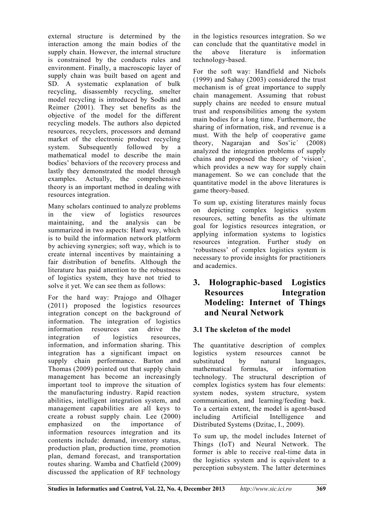external structure is determined by the interaction among the main bodies of the supply chain. However, the internal structure is constrained by the conducts rules and environment. Finally, a macroscopic layer of supply chain was built based on agent and SD. A systematic explanation of bulk recycling, disassembly recycling, smelter model recycling is introduced by Sodhi and Reimer (2001). They set benefits as the objective of the model for the different recycling models. The authors also depicted resources, recyclers, processors and demand market of the electronic product recycling system. Subsequently followed by a mathematical model to describe the main bodies' behaviors of the recovery process and lastly they demonstrated the model through examples. Actually, the comprehensive theory is an important method in dealing with resources integration.

Many scholars continued to analyze problems in the view of logistics resources maintaining, and the analysis can be summarized in two aspects: Hard way, which is to build the information network platform by achieving synergies; soft way, which is to create internal incentives by maintaining a fair distribution of benefits. Although the literature has paid attention to the robustness of logistics system, they have not tried to solve it yet. We can see them as follows:

For the hard way: Prajogo and Olhager (2011) proposed the logistics resources integration concept on the background of information. The integration of logistics information resources can drive the integration of logistics resources, information, and information sharing. This integration has a significant impact on supply chain performance. Barton and Thomas (2009) pointed out that supply chain management has become an increasingly important tool to improve the situation of the manufacturing industry. Rapid reaction abilities, intelligent integration system, and management capabilities are all keys to create a robust supply chain. Lee (2000) emphasized on the importance of information resources integration and its contents include: demand, inventory status, production plan, production time, promotion plan, demand forecast, and transportation routes sharing. Wamba and Chatfield (2009) discussed the application of RF technology

in the logistics resources integration. So we can conclude that the quantitative model in the above literature is information technology-based.

For the soft way: Handfield and Nichols (1999) and Sahay (2003) considered the trust mechanism is of great importance to supply chain management. Assuming that robust supply chains are needed to ensure mutual trust and responsibilities among the system main bodies for a long time. Furthermore, the sharing of information, risk, and revenue is a must. With the help of cooperative game theory, Nagarajan and  $Sos'ic'$  (2008) analyzed the integration problems of supply chains and proposed the theory of 'vision', which provides a new way for supply chain management. So we can conclude that the quantitative model in the above literatures is game theory-based.

To sum up, existing literatures mainly focus on depicting complex logistics system resources, setting benefits as the ultimate goal for logistics resources integration, or applying information systems to logistics resources integration. Further study on 'robustness' of complex logistics system is necessary to provide insights for practitioners and academics.

## **3. Holographic-based Logistics Resources Integration Modeling: Internet of Things and Neural Network**

### **3.1 The skeleton of the model**

The quantitative description of complex logistics system resources cannot be logistics system resources cannot be substituted by natural languages, mathematical formulas, or information technology. The structural description of complex logistics system has four elements: system nodes, system structure, system communication, and learning/feeding back. To a certain extent, the model is agent-based including Artificial Intelligence and Distributed Systems (Dzitac, I., 2009).

To sum up, the model includes Internet of Things (IoT) and Neural Network. The former is able to receive real-time data in the logistics system and is equivalent to a perception subsystem. The latter determines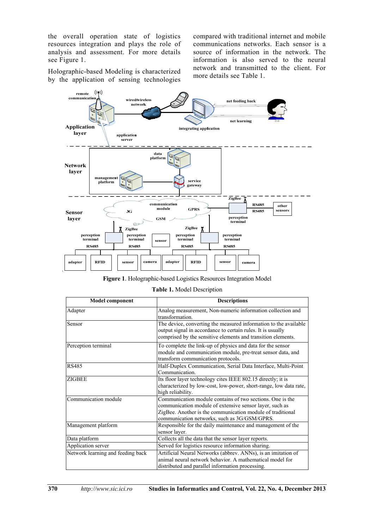the overall operation state of logistics resources integration and plays the role of analysis and assessment. For more details see Figure 1.

compared with traditional internet and mobile communications networks. Each sensor is a source of information in the network. The information is also served to the neural network and transmitted to the client. For more details see Table 1.

Holographic-based Modeling is characterized by the application of sensing technologies



**Figure 1**. Holographic-based Logistics Resources Integration Model

|  |  | Table 1. Model Description |  |  |
|--|--|----------------------------|--|--|
|--|--|----------------------------|--|--|

| <b>Model component</b>            | <b>Descriptions</b>                                                                                                                                                                                                                |
|-----------------------------------|------------------------------------------------------------------------------------------------------------------------------------------------------------------------------------------------------------------------------------|
| Adapter                           | Analog measurement, Non-numeric information collection and<br>transformation.                                                                                                                                                      |
| Sensor                            | The device, converting the measured information to the available<br>output signal in accordance to certain rules. It is usually<br>comprised by the sensitive elements and transition elements.                                    |
| Perception terminal               | To complete the link-up of physics and data for the sensor<br>module and communication module, pre-treat sensor data, and<br>transform communication protocols.                                                                    |
| <b>RS485</b>                      | Half-Duplex Communication, Serial Data Interface, Multi-Point<br>Communication.                                                                                                                                                    |
| <b>ZIGBEE</b>                     | Its floor layer technology cites IEEE 802.15 directly; it is<br>characterized by low-cost, low-power, short-range, low data rate,<br>high reliability.                                                                             |
| Communication module              | Communication module contains of two sections. One is the<br>communication module of extensive sensor layer, such as<br>ZigBee. Another is the communication module of traditional<br>communication networks, such as 3G/GSM/GPRS. |
| Management platform               | Responsible for the daily maintenance and management of the<br>sensor layer.                                                                                                                                                       |
| Data platform                     | Collects all the data that the sensor layer reports.                                                                                                                                                                               |
| Application server                | Served for logistics resource information sharing.                                                                                                                                                                                 |
| Network learning and feeding back | Artificial Neural Networks (abbrev. ANNs), is an imitation of<br>animal neural network behavior. A mathematical model for<br>distributed and parallel information processing.                                                      |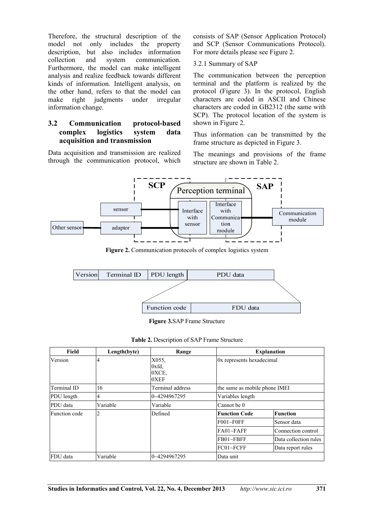Therefore, the structural description of the model not only includes the property description, but also includes information collection and system communication. Furthermore, the model can make intelligent analysis and realize feedback towards different kinds of information. Intelligent analysis, on the other hand, refers to that the model can make right judgments under irregular information change.

#### **3.2 Communication protocol-based complex logistics system data acquisition and transmission**

Data acquisition and transmission are realized through the communication protocol, which consists of SAP (Sensor Application Protocol) and SCP (Sensor Communications Protocol). For more details please see Figure 2.

#### 3.2.1 Summary of SAP

The communication between the perception terminal and the platform is realized by the protocol (Figure 3). In the protocol, English characters are coded in ASCII and Chinese characters are coded in GB2312 (the same with SCP). The protocol location of the system is shown in Figure 2.

Thus information can be transmitted by the frame structure as depicted in Figure 3.

The meanings and provisions of the frame structure are shown in Table 2.



Figure 2. Communication protocols of complex logistics system



**Figure 3.**SAP Frame Structure

| Table 2. Description of SAP Frame Structure |  |  |
|---------------------------------------------|--|--|
|                                             |  |  |

| Field         | Length(byte) | Range                           |                               | <b>Explanation</b>    |
|---------------|--------------|---------------------------------|-------------------------------|-----------------------|
| Version       | 4            | X055.<br>0xfd.<br>OXCE,<br>0XEF | 0x represents hexadecimal     |                       |
| Terminal ID   | 16           | Terminal address                | the same as mobile phone IMEI |                       |
| PDU length    | 4            | 0~4294967295                    | Variables length              |                       |
| PDU data      | Variable     | Variable                        | Cannot be 0                   |                       |
| Function code | 2            | Defined                         | <b>Function Code</b>          | <b>Function</b>       |
|               |              |                                 | $F001 \sim F0FF$              | Sensor data           |
|               |              |                                 | $FA01~$ FAFF                  | Connection control    |
|               |              |                                 | $FB01 \sim FBFF$              | Data collection rules |
|               |              |                                 | FC01~FCFF                     | Data report rules     |
| FDU data      | Variable     | 0~4294967295                    | Data unit                     |                       |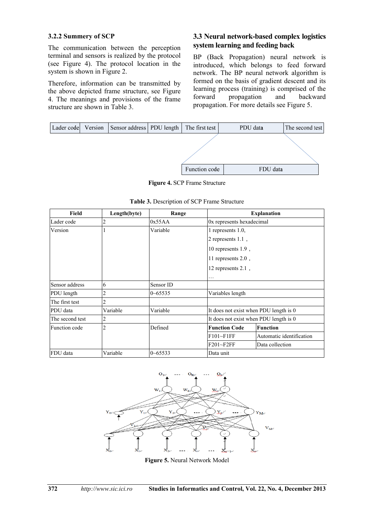#### **3.2.2 Summery of SCP**

The communication between the perception terminal and sensors is realized by the protocol (see Figure 4). The protocol location in the system is shown in Figure 2.

Therefore, information can be transmitted by the above depicted frame structure, see Figure 4. The meanings and provisions of the frame structure are shown in Table 3.

#### **3.3 Neural network-based complex logistics system learning and feeding back**

BP (Back Propagation) neural network is introduced, which belongs to feed forward network. The BP neural network algorithm is formed on the basis of gradient descent and its learning process (training) is comprised of the forward propagation and backward propagation. For more details see Figure 5.



**Figure 4.** SCP Frame Structure

| Field           | Length(byte)   | Range       |                                        | <b>Explanation</b>       |
|-----------------|----------------|-------------|----------------------------------------|--------------------------|
| Lader code      |                | 0x55AA      | 0x represents hexadecimal              |                          |
| Version         |                | Variable    | 1 represents 1.0,                      |                          |
|                 |                |             | 2 represents $1.1$ ,                   |                          |
|                 |                |             | 10 represents $1.9$ ,                  |                          |
|                 |                |             | 11 represents $2.0$ ,                  |                          |
|                 |                |             | 12 represents 2.1,                     |                          |
|                 |                |             | .                                      |                          |
| Sensor address  | 6              | Sensor ID   |                                        |                          |
| PDU length      | 2              | $0 - 65535$ | Variables length                       |                          |
| The first test  | 2              |             |                                        |                          |
| PDU data        | Variable       | Variable    | It does not exist when PDU length is 0 |                          |
| The second test | 2              |             | It does not exist when PDU length is 0 |                          |
| Function code   | $\overline{2}$ | Defined     | <b>Function Code</b>                   | <b>Function</b>          |
|                 |                |             | $F101-F1FF$                            | Automatic identification |
|                 |                |             | $F201 - F2FF$                          | Data collection          |
| FDU data        | Variable       | $0 - 65533$ | Data unit                              |                          |



**Figure 5.** Neural Network Model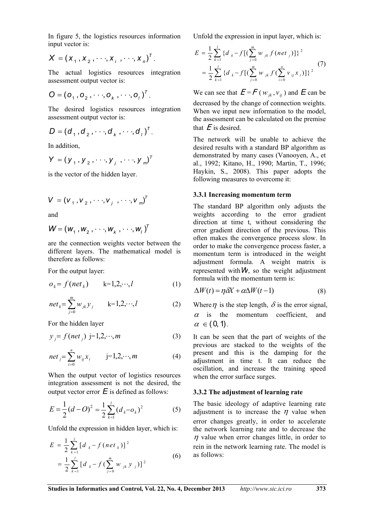In figure 5, the logistics resources information input vector is:

$$
X = (x_1, x_2, \cdots, x_j, \cdots, x_n)^T.
$$

The actual logistics resources integration assessment output vector is:

$$
\mathbf{O} = (\mathbf{O}_1, \mathbf{O}_2, \cdots, \mathbf{O}_k, \cdots, \mathbf{O}_l)^T.
$$

The desired logistics resources integration assessment output vector is:

$$
D = (d_1, d_2, \cdots, d_k, \cdots, d_l)^T.
$$

In addition,

$$
Y = (y_1, y_2, \cdots, y_j, \cdots, y_m)^T
$$

is the vector of the hidden layer.

$$
V = (v1, v2, ..., vj, ..., vm)T
$$

and

$$
\mathbf{W} = (\mathbf{W}_1, \mathbf{W}_2, \cdots, \mathbf{W}_k, \cdots, \mathbf{W}_l)^T
$$

are the connection weights vector between the different layers. The mathematical model is therefore as follows:

For the output layer:

$$
o_k = f(\text{net}_k) \qquad k=1,2,\cdots,l \tag{1}
$$

$$
net_{k} = \sum_{j=0}^{m} w_{jk} y_{j} \qquad k=1,2,\dots, l
$$
 (2)

For the hidden layer

$$
y_j = f(net_j) \ \ j=1,2,\cdots,m \tag{3}
$$

$$
net_j = \sum_{i=0}^{n} w_{ij} x_i \qquad j=1,2,\dots,m
$$
 (4)

When the output vector of logistics resources integration assessment is not the desired, the output vector error  $E$  is defined as follows:

$$
E = \frac{1}{2}(d - O)^2 = \frac{1}{2}\sum_{k=1}^{l} (d_k - o_k)^2
$$
 (5)

Unfold the expression in hidden layer, which is:

$$
E = \frac{1}{2} \sum_{k=1}^{l} [d_k - f(net_k)]^2
$$
  
= 
$$
\frac{1}{2} \sum_{k=1}^{l} [d_k - f(\sum_{j=0}^{m} w_{jk} y_{j})]^2
$$
 (6)

Unfold the expression in input layer, which is:

$$
E = \frac{1}{2} \sum_{k=1}^{l} \{ d_k - f \left[ \left( \sum_{j=0}^{m} w_{jk} f (net_j) \right] \right\}^2
$$
  
= 
$$
\frac{1}{2} \sum_{k=1}^{l} \{ d_k - f \left[ \left( \sum_{j=0}^{m} w_{jk} f \left( \sum_{i=0}^{n} v_{ij} x_i \right) \right] \right\}^2
$$
 (7)

We can see that  $E = F(w_{ik}, v_{ij})$  and  $E$  can be decreased by the change of connection weights. When we input new information to the model, the assessment can be calculated on the premise that  $E$  is desired.

The network will be unable to achieve the desired results with a standard BP algorithm as demonstrated by many cases (Vanooyen, A., et al., 1992; Kitano, H., 1990; Martin, T., 1996; Haykin, S., 2008). This paper adopts the following measures to overcome it:

#### **3.3.1 Increasing momentum term**

The standard BP algorithm only adjusts the weights according to the error gradient direction at time t, without considering the error gradient direction of the previous. This often makes the convergence process slow. In order to make the convergence process faster, a momentum term is introduced in the weight adjustment formula. A weight matrix is represented with  $W$ , so the weight adjustment formula with the momentum term is:

$$
\Delta W(t) = \eta \delta X + \alpha \Delta W(t-1) \tag{8}
$$

Where  $\eta$  is the step length,  $\delta$  is the error signal,  $\alpha$  is the momentum coefficient, and  $\alpha \in (0, 1)$ .

It can be seen that the part of weights of the previous are stacked to the weights of the present and this is the damping for the adjustment in time t. It can reduce the oscillation, and increase the training speed when the error surface surges.

#### **3.3.2 The adjustment of learning rate**

The basic ideology of adaptive learning rate adjustment is to increase the  $\eta$  value when error changes greatly, in order to accelerate the network learning rate and to decrease the  $\eta$  value when error changes little, in order to rein in the network learning rate. The model is as follows: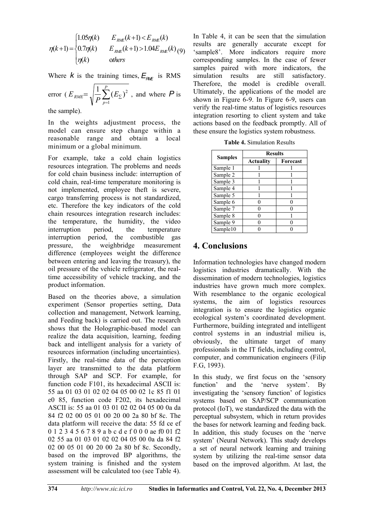$$
\eta(k+1) = \begin{cases} 1.05\eta(k) & E_{\text{RME}}(k+1) < E_{\text{RME}}(k) \\ 0.7\eta(k) & E_{\text{RME}}(k+1) > 1.04E_{\text{RME}}(k) \\ \eta(k) & \text{others} \end{cases} \tag{9}
$$

Where *k* is the training times,  $E_{\text{RMF}}$  is RMS

error 
$$
(E_{RME} = \sqrt{\frac{1}{P} \sum_{p=1}^{P} (E_{\Sigma})^2}
$$
, and where **P** is

the sample).

In the weights adjustment process, the model can ensure step change within a reasonable range and obtain a local minimum or a global minimum.

For example, take a cold chain logistics resources integration. The problems and needs for cold chain business include: interruption of cold chain, real-time temperature monitoring is not implemented, employee theft is severe, cargo transferring process is not standardized, etc. Therefore the key indicators of the cold chain resources integration research includes: the temperature, the humidity, the video interruption period, the temperature interruption period, the combustible gas pressure, the weighbridge measurement difference (employees weight the difference between entering and leaving the treasury), the oil pressure of the vehicle refrigerator, the realtime accessibility of vehicle tracking, and the product information.

Based on the theories above, a simulation experiment (Sensor properties setting, Data collection and management, Network learning, and Feeding back) is carried out. The research shows that the Holographic-based model can realize the data acquisition, learning, feeding back and intelligent analysis for a variety of resources information (including uncertainties). Firstly, the real-time data of the perception layer are transmitted to the data platform through SAP and SCP. For example, for function code F101, its hexadecimal ASCII is: 55 aa 01 03 01 02 02 04 05 00 02 1c 85 f1 01 e0 85, function code F202, its hexadecimal ASCII is: 55 aa 01 03 01 02 02 04 05 00 0a da 84 f2 02 00 05 01 00 20 00 2a 80 bf 8c. The data platform will receive the data: 55 fd ce ef 0 1 2 3 4 5 6 7 8 9 a b c d e f 0 0 0 ae f0 01 f2 02 55 aa 01 03 01 02 02 04 05 00 0a da 84 f2 02 00 05 01 00 20 00 2a 80 bf 8c. Secondly, based on the improved BP algorithms, the system training is finished and the system assessment will be calculated too (see Table 4).

In Table 4, it can be seen that the simulation results are generally accurate except for 'sample8'. More indicators require more corresponding samples. In the case of fewer samples paired with more indicators, the simulation results are still satisfactory. Therefore, the model is credible overall. Ultimately, the applications of the model are shown in Figure 6-9. In Figure 6-9, users can verify the real-time status of logistics resources integration resorting to client system and take actions based on the feedback promptly. All of these ensure the logistics system robustness.

|  | <b>Table 4. Simulation Results</b> |  |
|--|------------------------------------|--|
|--|------------------------------------|--|

|                | <b>Results</b>   |                 |  |
|----------------|------------------|-----------------|--|
| <b>Samples</b> | <b>Actuality</b> | <b>Forecast</b> |  |
| Sample 1       |                  |                 |  |
| Sample 2       |                  |                 |  |
| Sample 3       |                  |                 |  |
| Sample 4       |                  |                 |  |
| Sample 5       |                  |                 |  |
| Sample 6       |                  |                 |  |
| Sample 7       |                  |                 |  |
| Sample 8       |                  |                 |  |
| Sample 9       |                  |                 |  |
| Sample10       |                  |                 |  |

# **4. Conclusions**

Information technologies have changed modern logistics industries dramatically. With the dissemination of modern technologies, logistics industries have grown much more complex. With resemblance to the organic ecological systems, the aim of logistics resources integration is to ensure the logistics organic ecological system's coordinated development. Furthermore, building integrated and intelligent control systems in an industrial milieu is, obviously, the ultimate target of many professionals in the IT fields, including control, computer, and communication engineers (Filip F.G, 1993).

In this study, we first focus on the 'sensory function' and the 'nerve system'. By investigating the 'sensory function' of logistics systems based on SAP/SCP communication protocol (IoT), we standardized the data with the perceptual subsystem, which in return provides the bases for network learning and feeding back. In addition, this study focuses on the 'nerve system' (Neural Network). This study develops a set of neural network learning and training system by utilizing the real-time sensor data based on the improved algorithm. At last, the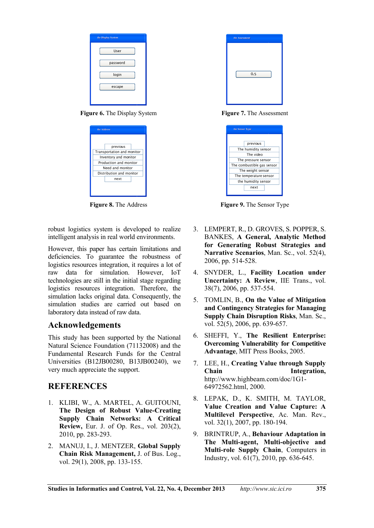| the Display System |
|--------------------|
| User               |
| password           |
| login              |
| escape             |
|                    |

**Figure 6.** The Display System **Figure 7.** The Assessment

| previous<br>Transportation and monitor<br>Inventory and monitor<br>Production and monitor<br>Need and monitor<br>Distribution and monitor<br>next | the Address |  |  |  |
|---------------------------------------------------------------------------------------------------------------------------------------------------|-------------|--|--|--|
|                                                                                                                                                   |             |  |  |  |
|                                                                                                                                                   |             |  |  |  |
|                                                                                                                                                   |             |  |  |  |
|                                                                                                                                                   |             |  |  |  |
|                                                                                                                                                   |             |  |  |  |
|                                                                                                                                                   |             |  |  |  |
|                                                                                                                                                   |             |  |  |  |
|                                                                                                                                                   |             |  |  |  |
|                                                                                                                                                   |             |  |  |  |
|                                                                                                                                                   |             |  |  |  |

robust logistics system is developed to realize intelligent analysis in real world environments.

However, this paper has certain limitations and deficiencies. To guarantee the robustness of logistics resources integration, it requires a lot of raw data for simulation. However, IoT technologies are still in the initial stage regarding logistics resources integration. Therefore, the simulation lacks original data. Consequently, the simulation studies are carried out based on laboratory data instead of raw data.

### **Acknowledgements**

This study has been supported by the National Natural Science Foundation (71132008) and the Fundamental Research Funds for the Central Universities (B12JB00280, B13JB00240), we very much appreciate the support.

### **REFERENCES**

- 1. KLIBI, W., A. MARTEL, A. GUITOUNI, **The Design of Robust Value-Creating Supply Chain Networks: A Critical Review,** Eur. J. of Op. Res., vol. 203(2), 2010, pp. 283-293.
- 2. MANUJ, I., J. MENTZER, **Global Supply Chain Risk Management,** J. of Bus. Log., vol. 29(1), 2008, pp. 133-155.

| the Assessment |
|----------------|
|                |
|                |
|                |
| 0.5            |
|                |
|                |
|                |

| the Sensor Type                  |          |  |
|----------------------------------|----------|--|
|                                  | previous |  |
|                                  |          |  |
| The humidity sensor<br>The video |          |  |
| The pressure sensor              |          |  |
| The combustible gas sensor       |          |  |
| The weight sensor                |          |  |
| The temperature sensor           |          |  |
| the humidity sensor              |          |  |
|                                  | next     |  |
|                                  |          |  |

**Figure 8.** The Address **Figure 9.** The Sensor Type

- 3. LEMPERT, R., D. GROVES, S. POPPER, S. BANKES, **A General, Analytic Method for Generating Robust Strategies and Narrative Scenarios**, Man. Sc., vol. 52(4), 2006, pp. 514-528.
- 4. SNYDER, L., **Facility Location under Uncertainty: A Review**, IIE Trans., vol. 38(7), 2006, pp. 537-554.
- 5. TOMLIN, B., **On the Value of Mitigation and Contingency Strategies for Managing Supply Chain Disruption Risks**, Man. Sc., vol. 52(5), 2006, pp. 639-657.
- 6. SHEFFI, Y., **The Resilient Enterprise: Overcoming Vulnerability for Competitive Advantage**, MIT Press Books, 2005.
- 7. LEE, H., **Creating Value through Supply Chain Integration,**  http://www.highbeam.com/doc/1G1- 64972562.html, 2000.
- 8. LEPAK, D., K. SMITH, M. TAYLOR, **Value Creation and Value Capture: A Multilevel Perspective**, Ac. Man. Rev., vol. 32(1), 2007, pp. 180-194.
- 9. BRINTRUP, A., **Behaviour Adaptation in The Multi-agent, Multi-objective and Multi-role Supply Chain**, Computers in Industry, vol. 61(7), 2010, pp. 636-645.